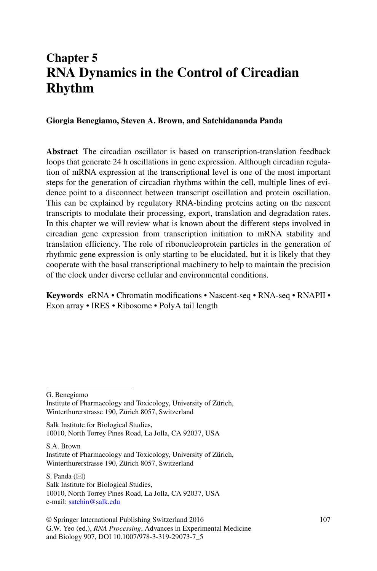# **Chapter 5 RNA Dynamics in the Control of Circadian Rhythm**

#### **Giorgia Benegiamo , Steven A. Brown , and Satchidananda Panda**

 **Abstract** The circadian oscillator is based on transcription-translation feedback loops that generate 24 h oscillations in gene expression. Although circadian regulation of mRNA expression at the transcriptional level is one of the most important steps for the generation of circadian rhythms within the cell, multiple lines of evidence point to a disconnect between transcript oscillation and protein oscillation. This can be explained by regulatory RNA-binding proteins acting on the nascent transcripts to modulate their processing, export, translation and degradation rates. In this chapter we will review what is known about the different steps involved in circadian gene expression from transcription initiation to mRNA stability and translation efficiency. The role of ribonucleoprotein particles in the generation of rhythmic gene expression is only starting to be elucidated, but it is likely that they cooperate with the basal transcriptional machinery to help to maintain the precision of the clock under diverse cellular and environmental conditions.

**Keywords** eRNA • Chromatin modifications • Nascent-seq • RNA-seq • RNAPII • Exon array • IRES • Ribosome • PolyA tail length

G. Benegiamo

Salk Institute for Biological Studies, 10010, North Torrey Pines Road, La Jolla, CA 92037, USA

S. Panda  $(\boxtimes)$ Salk Institute for Biological Studies, 10010, North Torrey Pines Road, La Jolla, CA 92037, USA e-mail: [satchin@salk.edu](mailto:satchin@salk.edu)

Institute of Pharmacology and Toxicology, University of Zürich, Winterthurerstrasse 190, Zürich 8057, Switzerland

S. A. Brown Institute of Pharmacology and Toxicology, University of Zürich, Winterthurerstrasse 190, Zürich 8057, Switzerland

<sup>©</sup> Springer International Publishing Switzerland 2016 G.W. Yeo (ed.), *RNA Processing*, Advances in Experimental Medicine and Biology 907, DOI 10.1007/978-3-319-29073-7\_5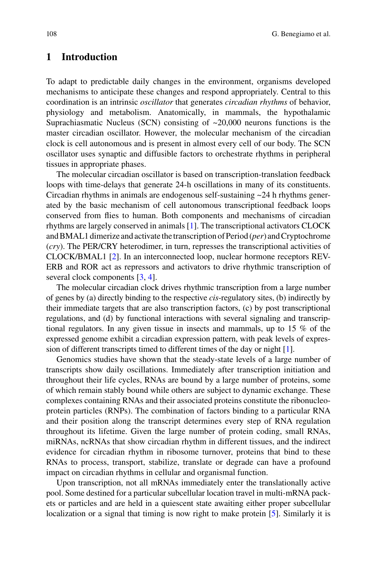#### **1 Introduction**

 To adapt to predictable daily changes in the environment, organisms developed mechanisms to anticipate these changes and respond appropriately. Central to this coordination is an intrinsic *oscillator* that generates *circadian rhythms* of behavior, physiology and metabolism. Anatomically, in mammals, the hypothalamic Suprachiasmatic Nucleus (SCN) consisting of  $\sim$  20,000 neurons functions is the master circadian oscillator. However, the molecular mechanism of the circadian clock is cell autonomous and is present in almost every cell of our body. The SCN oscillator uses synaptic and diffusible factors to orchestrate rhythms in peripheral tissues in appropriate phases.

 The molecular circadian oscillator is based on transcription-translation feedback loops with time-delays that generate 24-h oscillations in many of its constituents. Circadian rhythms in animals are endogenous self-sustaining  $\sim$  24 h rhythms generated by the basic mechanism of cell autonomous transcriptional feedback loops conserved from flies to human. Both components and mechanisms of circadian rhythms are largely conserved in animals [1]. The transcriptional activators CLOCK and BMAL1 dimerize and activate the transcription of Period (*per*) and Cryptochrome (*cry*). The PER/CRY heterodimer, in turn, represses the transcriptional activities of CLOCK/BMAL1 [2]. In an interconnected loop, nuclear hormone receptors REV-ERB and ROR act as repressors and activators to drive rhythmic transcription of several clock components  $[3, 4]$ .

 The molecular circadian clock drives rhythmic transcription from a large number of genes by (a) directly binding to the respective *cis* -regulatory sites, (b) indirectly by their immediate targets that are also transcription factors, (c) by post transcriptional regulations, and (d) by functional interactions with several signaling and transcriptional regulators. In any given tissue in insects and mammals, up to 15 % of the expressed genome exhibit a circadian expression pattern, with peak levels of expression of different transcripts timed to different times of the day or night [1].

 Genomics studies have shown that the steady-state levels of a large number of transcripts show daily oscillations. Immediately after transcription initiation and throughout their life cycles, RNAs are bound by a large number of proteins, some of which remain stably bound while others are subject to dynamic exchange. These complexes containing RNAs and their associated proteins constitute the ribonucleoprotein particles (RNPs). The combination of factors binding to a particular RNA and their position along the transcript determines every step of RNA regulation throughout its lifetime. Given the large number of protein coding, small RNAs, miRNAs, ncRNAs that show circadian rhythm in different tissues, and the indirect evidence for circadian rhythm in ribosome turnover, proteins that bind to these RNAs to process, transport, stabilize, translate or degrade can have a profound impact on circadian rhythms in cellular and organismal function.

 Upon transcription, not all mRNAs immediately enter the translationally active pool. Some destined for a particular subcellular location travel in multi-mRNA packets or particles and are held in a quiescent state awaiting either proper subcellular localization or a signal that timing is now right to make protein  $[5]$ . Similarly it is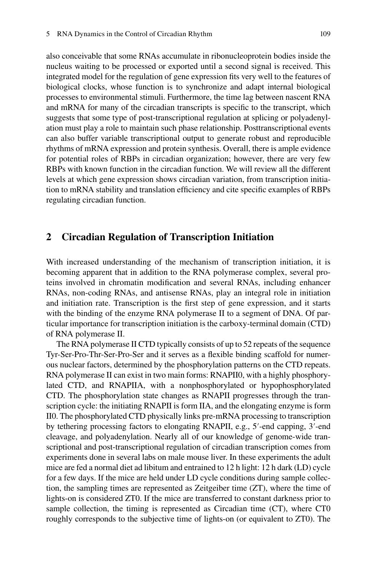also conceivable that some RNAs accumulate in ribonucleoprotein bodies inside the nucleus waiting to be processed or exported until a second signal is received. This integrated model for the regulation of gene expression fits very well to the features of biological clocks, whose function is to synchronize and adapt internal biological processes to environmental stimuli. Furthermore, the time lag between nascent RNA and mRNA for many of the circadian transcripts is specific to the transcript, which suggests that some type of post-transcriptional regulation at splicing or polyadenylation must play a role to maintain such phase relationship. Posttranscriptional events can also buffer variable transcriptional output to generate robust and reproducible rhythms of mRNA expression and protein synthesis. Overall, there is ample evidence for potential roles of RBPs in circadian organization; however, there are very few RBPs with known function in the circadian function. We will review all the different levels at which gene expression shows circadian variation, from transcription initiation to mRNA stability and translation efficiency and cite specific examples of RBPs regulating circadian function.

#### **2 Circadian Regulation of Transcription Initiation**

 With increased understanding of the mechanism of transcription initiation, it is becoming apparent that in addition to the RNA polymerase complex, several proteins involved in chromatin modification and several RNAs, including enhancer RNAs, non-coding RNAs, and antisense RNAs, play an integral role in initiation and initiation rate. Transcription is the first step of gene expression, and it starts with the binding of the enzyme RNA polymerase II to a segment of DNA. Of particular importance for transcription initiation is the carboxy-terminal domain (CTD) of RNA polymerase II.

 The RNA polymerase II CTD typically consists of up to 52 repeats of the sequence Tyr-Ser-Pro-Thr-Ser-Pro-Ser and it serves as a flexible binding scaffold for numerous nuclear factors, determined by the phosphorylation patterns on the CTD repeats. RNA polymerase II can exist in two main forms: RNAPII0, with a highly phosphorylated CTD, and RNAPIIA, with a nonphosphorylated or hypophosphorylated CTD. The phosphorylation state changes as RNAPII progresses through the transcription cycle: the initiating RNAPII is form IIA, and the elongating enzyme is form II0. The phosphorylated CTD physically links pre-mRNA processing to transcription by tethering processing factors to elongating RNAPII, e.g., 5′-end capping, 3′-end cleavage, and polyadenylation. Nearly all of our knowledge of genome-wide transcriptional and post-transcriptional regulation of circadian transcription comes from experiments done in several labs on male mouse liver. In these experiments the adult mice are fed a normal diet ad libitum and entrained to 12 h light: 12 h dark (LD) cycle for a few days. If the mice are held under LD cycle conditions during sample collection, the sampling times are represented as Zeitgeiber time (ZT), where the time of lights-on is considered ZT0. If the mice are transferred to constant darkness prior to sample collection, the timing is represented as Circadian time (CT), where CT0 roughly corresponds to the subjective time of lights-on (or equivalent to ZT0). The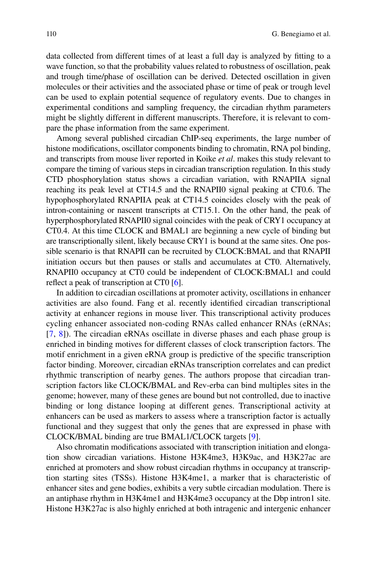data collected from different times of at least a full day is analyzed by fitting to a wave function, so that the probability values related to robustness of oscillation, peak and trough time/phase of oscillation can be derived. Detected oscillation in given molecules or their activities and the associated phase or time of peak or trough level can be used to explain potential sequence of regulatory events. Due to changes in experimental conditions and sampling frequency, the circadian rhythm parameters might be slightly different in different manuscripts. Therefore, it is relevant to compare the phase information from the same experiment.

 Among several published circadian ChIP-seq experiments, the large number of histone modifications, oscillator components binding to chromatin, RNA pol binding, and transcripts from mouse liver reported in Koike *et al* . makes this study relevant to compare the timing of various steps in circadian transcription regulation. In this study CTD phosphorylation status shows a circadian variation, with RNAPIIA signal reaching its peak level at CT14.5 and the RNAPII0 signal peaking at CT0.6. The hypophosphorylated RNAPIIA peak at CT14.5 coincides closely with the peak of intron-containing or nascent transcripts at CT15.1. On the other hand, the peak of hyperphosphorylated RNAPII0 signal coincides with the peak of CRY1 occupancy at CT0.4. At this time CLOCK and BMAL1 are beginning a new cycle of binding but are transcriptionally silent, likely because CRY1 is bound at the same sites. One possible scenario is that RNAPII can be recruited by CLOCK:BMAL and that RNAPII initiation occurs but then pauses or stalls and accumulates at CT0. Alternatively, RNAPII0 occupancy at CT0 could be independent of CLOCK:BMAL1 and could reflect a peak of transcription at  $CT0$  [6].

 In addition to circadian oscillations at promoter activity, oscillations in enhancer activities are also found. Fang et al. recently identified circadian transcriptional activity at enhancer regions in mouse liver. This transcriptional activity produces cycling enhancer associated non-coding RNAs called enhancer RNAs (eRNAs; [7, 8]). The circadian eRNAs oscillate in diverse phases and each phase group is enriched in binding motives for different classes of clock transcription factors. The motif enrichment in a given eRNA group is predictive of the specific transcription factor binding. Moreover, circadian eRNAs transcription correlates and can predict rhythmic transcription of nearby genes. The authors propose that circadian transcription factors like CLOCK/BMAL and Rev-erba can bind multiples sites in the genome; however, many of these genes are bound but not controlled, due to inactive binding or long distance looping at different genes. Transcriptional activity at enhancers can be used as markers to assess where a transcription factor is actually functional and they suggest that only the genes that are expressed in phase with CLOCK/BMAL binding are true BMAL1/CLOCK targets [9].

Also chromatin modifications associated with transcription initiation and elongation show circadian variations. Histone H3K4me3, H3K9ac, and H3K27ac are enriched at promoters and show robust circadian rhythms in occupancy at transcription starting sites (TSSs). Histone H3K4me1, a marker that is characteristic of enhancer sites and gene bodies, exhibits a very subtle circadian modulation. There is an antiphase rhythm in H3K4me1 and H3K4me3 occupancy at the Dbp intron1 site. Histone H3K27ac is also highly enriched at both intragenic and intergenic enhancer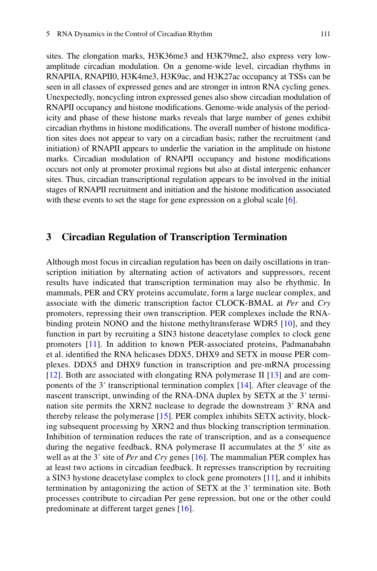sites. The elongation marks, H3K36me3 and H3K79me2, also express very lowamplitude circadian modulation. On a genome-wide level, circadian rhythms in RNAPIIA, RNAPII0, H3K4me3, H3K9ac, and H3K27ac occupancy at TSSs can be seen in all classes of expressed genes and are stronger in intron RNA cycling genes. Unexpectedly, noncycling intron expressed genes also show circadian modulation of RNAPII occupancy and histone modifications. Genome-wide analysis of the periodicity and phase of these histone marks reveals that large number of genes exhibit circadian rhythms in histone modifications. The overall number of histone modification sites does not appear to vary on a circadian basis; rather the recruitment (and initiation) of RNAPII appears to underlie the variation in the amplitude on histone marks. Circadian modulation of RNAPII occupancy and histone modifications occurs not only at promoter proximal regions but also at distal intergenic enhancer sites. Thus, circadian transcriptional regulation appears to be involved in the initial stages of RNAPII recruitment and initiation and the histone modification associated with these events to set the stage for gene expression on a global scale  $[6]$ .

#### **3 Circadian Regulation of Transcription Termination**

 Although most focus in circadian regulation has been on daily oscillations in transcription initiation by alternating action of activators and suppressors, recent results have indicated that transcription termination may also be rhythmic. In mammals, PER and CRY proteins accumulate, form a large nuclear complex, and associate with the dimeric transcription factor CLOCK-BMAL at *Per* and *Cry* promoters, repressing their own transcription. PER complexes include the RNAbinding protein NONO and the histone methyltransferase WDR5  $[10]$ , and they function in part by recruiting a SIN3 histone deacetylase complex to clock gene promoters [\[ 11](#page-14-0) ]. In addition to known PER-associated proteins, Padmanabahn et al. identified the RNA helicases DDX5, DHX9 and SETX in mouse PER complexes. DDX5 and DHX9 function in transcription and pre-mRNA processing [12]. Both are associated with elongating RNA polymerase II [13] and are components of the 3' transcriptional termination complex [14]. After cleavage of the nascent transcript, unwinding of the RNA-DNA duplex by SETX at the 3′ termination site permits the XRN2 nuclease to degrade the downstream 3′ RNA and thereby release the polymerase  $[15]$ . PER complex inhibits SETX activity, blocking subsequent processing by XRN2 and thus blocking transcription termination. Inhibition of termination reduces the rate of transcription, and as a consequence during the negative feedback, RNA polymerase II accumulates at the 5′ site as well as at the 3<sup>'</sup> site of *Per* and *Cry* genes [16]. The mammalian PER complex has at least two actions in circadian feedback. It represses transcription by recruiting a SIN3 hystone deacetylase complex to clock gene promoters [ [11 \]](#page-14-0), and it inhibits termination by antagonizing the action of SETX at the 3′ termination site. Both processes contribute to circadian Per gene repression, but one or the other could predominate at different target genes [16].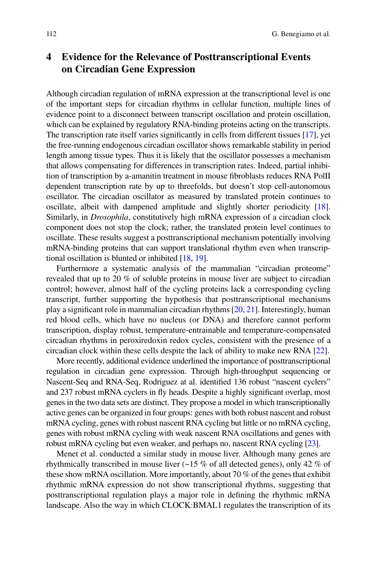# **4 Evidence for the Relevance of Posttranscriptional Events on Circadian Gene Expression**

 Although circadian regulation of mRNA expression at the transcriptional level is one of the important steps for circadian rhythms in cellular function, multiple lines of evidence point to a disconnect between transcript oscillation and protein oscillation, which can be explained by regulatory RNA-binding proteins acting on the transcripts. The transcription rate itself varies significantly in cells from different tissues  $[17]$ , yet the free-running endogenous circadian oscillator shows remarkable stability in period length among tissue types. Thus it is likely that the oscillator possesses a mechanism that allows compensating for differences in transcription rates. Indeed, partial inhibition of transcription by a-amanitin treatment in mouse fibroblasts reduces RNA PolII dependent transcription rate by up to threefolds, but doesn't stop cell-autonomous oscillator. The circadian oscillator as measured by translated protein continues to oscillate, albeit with dampened amplitude and slightly shorter periodicity [18]. Similarly, in *Drosophila* , constitutively high mRNA expression of a circadian clock component does not stop the clock; rather, the translated protein level continues to oscillate. These results suggest a posttranscriptional mechanism potentially involving mRNA-binding proteins that can support translational rhythm even when transcriptional oscillation is blunted or inhibited [18, 19].

Furthermore a systematic analysis of the mammalian "circadian proteome" revealed that up to 20 % of soluble proteins in mouse liver are subject to circadian control; however, almost half of the cycling proteins lack a corresponding cycling transcript, further supporting the hypothesis that posttranscriptional mechanisms play a significant role in mammalian circadian rhythms  $[20, 21]$  $[20, 21]$  $[20, 21]$ . Interestingly, human red blood cells, which have no nucleus (or DNA) and therefore cannot perform transcription, display robust, temperature-entrainable and temperature- compensated circadian rhythms in peroxiredoxin redox cycles, consistent with the presence of a circadian clock within these cells despite the lack of ability to make new RNA [ [22](#page-14-0) ].

 More recently, additional evidence underlined the importance of posttranscriptional regulation in circadian gene expression. Through high-throughput sequencing or Nascent-Seq and RNA-Seq, Rodriguez at al. identified 136 robust "nascent cyclers" and 237 robust mRNA cyclers in fly heads. Despite a highly significant overlap, most genes in the two data sets are distinct. They propose a model in which transcriptionally active genes can be organized in four groups: genes with both robust nascent and robust mRNA cycling, genes with robust nascent RNA cycling but little or no mRNA cycling, genes with robust mRNA cycling with weak nascent RNA oscillations and genes with robust mRNA cycling but even weaker, and perhaps no, nascent RNA cycling [23].

 Menet et al. conducted a similar study in mouse liver. Although many genes are rhythmically transcribed in mouse liver (~15 % of all detected genes), only 42 % of these show mRNA oscillation. More importantly, about 70 % of the genes that exhibit rhythmic mRNA expression do not show transcriptional rhythms, suggesting that posttranscriptional regulation plays a major role in defining the rhythmic mRNA landscape. Also the way in which CLOCK:BMAL1 regulates the transcription of its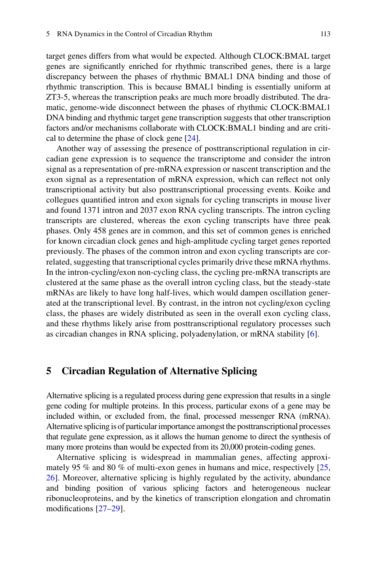target genes differs from what would be expected. Although CLOCK:BMAL target genes are significantly enriched for rhythmic transcribed genes, there is a large discrepancy between the phases of rhythmic BMAL1 DNA binding and those of rhythmic transcription. This is because BMAL1 binding is essentially uniform at ZT3-5, whereas the transcription peaks are much more broadly distributed. The dramatic, genome-wide disconnect between the phases of rhythmic CLOCK:BMAL1 DNA binding and rhythmic target gene transcription suggests that other transcription factors and/or mechanisms collaborate with CLOCK:BMAL1 binding and are critical to determine the phase of clock gene [24].

 Another way of assessing the presence of posttranscriptional regulation in circadian gene expression is to sequence the transcriptome and consider the intron signal as a representation of pre-mRNA expression or nascent transcription and the exon signal as a representation of mRNA expression, which can reflect not only transcriptional activity but also posttranscriptional processing events. Koike and collegues quantified intron and exon signals for cycling transcripts in mouse liver and found 1371 intron and 2037 exon RNA cycling transcripts. The intron cycling transcripts are clustered, whereas the exon cycling transcripts have three peak phases. Only 458 genes are in common, and this set of common genes is enriched for known circadian clock genes and high-amplitude cycling target genes reported previously. The phases of the common intron and exon cycling transcripts are correlated, suggesting that transcriptional cycles primarily drive these mRNA rhythms. In the intron-cycling/exon non-cycling class, the cycling pre-mRNA transcripts are clustered at the same phase as the overall intron cycling class, but the steady-state mRNAs are likely to have long half-lives, which would dampen oscillation generated at the transcriptional level. By contrast, in the intron not cycling/exon cycling class, the phases are widely distributed as seen in the overall exon cycling class, and these rhythms likely arise from posttranscriptional regulatory processes such as circadian changes in RNA splicing, polyadenylation, or mRNA stability  $[6]$ .

### **5 Circadian Regulation of Alternative Splicing**

 Alternative splicing is a regulated process during gene expression that results in a single gene coding for multiple proteins. In this process, particular exons of a gene may be included within, or excluded from, the final, processed messenger RNA (mRNA). Alternative splicing is of particular importance amongst the posttranscriptional processes that regulate gene expression, as it allows the human genome to direct the synthesis of many more proteins than would be expected from its 20,000 protein-coding genes.

 Alternative splicing is widespread in mammalian genes, affecting approximately 95 % and 80 % of multi-exon genes in humans and mice, respectively  $[25,$ 26. Moreover, alternative splicing is highly regulated by the activity, abundance and binding position of various splicing factors and heterogeneous nuclear ribonucleoproteins, and by the kinetics of transcription elongation and chromatin modifications  $[27-29]$ .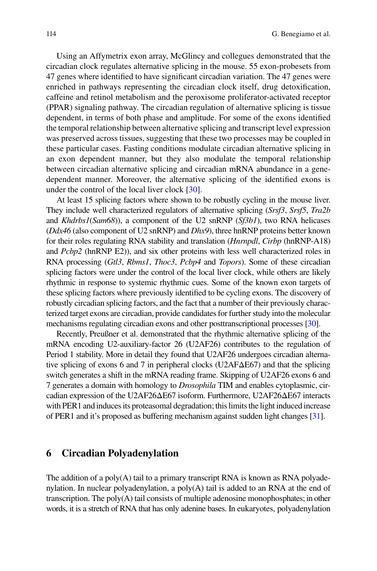Using an Affymetrix exon array, McGlincy and collegues demonstrated that the circadian clock regulates alternative splicing in the mouse. 55 exon-probesets from 47 genes where identified to have significant circadian variation. The 47 genes were enriched in pathways representing the circadian clock itself, drug detoxification, caffeine and retinol metabolism and the peroxisome proliferator-activated receptor (PPAR) signaling pathway. The circadian regulation of alternative splicing is tissue dependent, in terms of both phase and amplitude. For some of the exons identified the temporal relationship between alternative splicing and transcript level expression was preserved across tissues, suggesting that these two processes may be coupled in these particular cases. Fasting conditions modulate circadian alternative splicing in an exon dependent manner, but they also modulate the temporal relationship between circadian alternative splicing and circadian mRNA abundance in a genedependent manner. Moreover, the alternative splicing of the identified exons is under the control of the local liver clock  $[30]$ .

 At least 15 splicing factors where shown to be robustly cycling in the mouse liver. They include well characterized regulators of alternative splicing ( *Srsf3* , *Srsf5* , *Tra2b* and *Khdrbs1*(*Sam68*)), a component of the U2 snRNP (*Sf3b1*), two RNA helicases ( *Ddx46* (also component of U2 snRNP) and *Dhx9* ), three hnRNP proteins better known for their roles regulating RNA stability and translation ( *Hnrnpdl* , *Cirbp* (hnRNP-A18) and *Pcbp2* (hnRNP E2)), and six other proteins with less well characterized roles in RNA processing (*Gtl3*, *Rbms1*, *Thoc3*, *Pcbp4* and *Topors*). Some of these circadian splicing factors were under the control of the local liver clock, while others are likely rhythmic in response to systemic rhythmic cues. Some of the known exon targets of these splicing factors where previously identified to be cycling exons. The discovery of robustly circadian splicing factors, and the fact that a number of their previously characterized target exons are circadian, provide candidates for further study into the molecular mechanisms regulating circadian exons and other posttranscriptional processes [30].

 Recently, Preußner et al. demonstrated that the rhythmic alternative splicing of the mRNA encoding U2-auxiliary-factor 26 (U2AF26) contributes to the regulation of Period 1 stability. More in detail they found that U2AF26 undergoes circadian alternative splicing of exons 6 and 7 in peripheral clocks (U2AFΔE67) and that the splicing switch generates a shift in the mRNA reading frame. Skipping of U2AF26 exons 6 and 7 generates a domain with homology to *Drosophila* TIM and enables cytoplasmic, circadian expression of the U2AF26ΔE67 isoform. Furthermore, U2AF26ΔE67 interacts with PER1 and induces its proteasomal degradation; this limits the light induced increase of PER1 and it's proposed as buffering mechanism against sudden light changes [31].

#### **6 Circadian Polyadenylation**

 The addition of a poly(A) tail to a primary transcript RNA is known as RNA polyadenylation. In nuclear polyadenylation, a  $poly(A)$  tail is added to an RNA at the end of transcription. The poly(A) tail consists of multiple adenosine monophosphates; in other words, it is a stretch of RNA that has only adenine bases. In eukaryotes, polyadenylation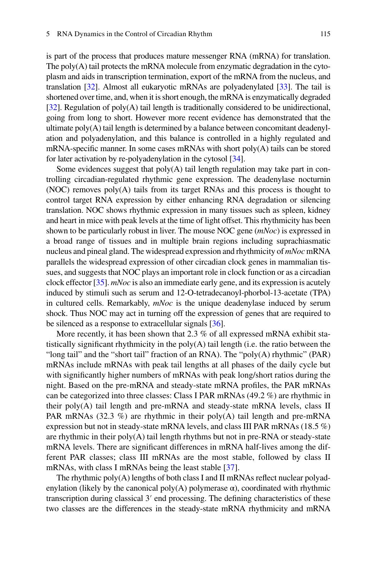is part of the process that produces mature messenger RNA (mRNA) for translation. The poly(A) tail protects the mRNA molecule from enzymatic degradation in the cytoplasm and aids in transcription termination, export of the mRNA from the nucleus, and translation  $\left[ 32 \right]$ . Almost all eukaryotic mRNAs are polyadenylated  $\left[ 33 \right]$  $\left[ 33 \right]$  $\left[ 33 \right]$ . The tail is shortened over time, and, when it is short enough, the mRNA is enzymatically degraded [32]. Regulation of poly(A) tail length is traditionally considered to be unidirectional, going from long to short. However more recent evidence has demonstrated that the ultimate  $poly(A)$  tail length is determined by a balance between concomitant deadenylation and polyadenylation, and this balance is controlled in a highly regulated and mRNA-specific manner. In some cases mRNAs with short  $poly(A)$  tails can be stored for later activation by re-polyadenylation in the cytosol [34].

 Some evidences suggest that poly(A) tail length regulation may take part in controlling circadian-regulated rhythmic gene expression. The deadenylase nocturnin (NOC) removes poly(A) tails from its target RNAs and this process is thought to control target RNA expression by either enhancing RNA degradation or silencing translation. NOC shows rhythmic expression in many tissues such as spleen, kidney and heart in mice with peak levels at the time of light offset. This rhythmicity has been shown to be particularly robust in liver. The mouse NOC gene ( *mNoc* ) is expressed in a broad range of tissues and in multiple brain regions including suprachiasmatic nucleus and pineal gland. The widespread expression and rhythmicity of *mNoc* mRNA parallels the widespread expression of other circadian clock genes in mammalian tissues, and suggests that NOC plays an important role in clock function or as a circadian clock effector [\[ 35 \]](#page-15-0). *mNoc* is also an immediate early gene, and its expression is acutely induced by stimuli such as serum and 12-O-tetradecanoyl- phorbol-13-acetate (TPA) in cultured cells. Remarkably, *mNoc* is the unique deadenylase induced by serum shock. Thus NOC may act in turning off the expression of genes that are required to be silenced as a response to extracellular signals [36].

 More recently, it has been shown that 2.3 % of all expressed mRNA exhibit statistically significant rhythmicity in the  $poly(A)$  tail length (i.e. the ratio between the "long tail" and the "short tail" fraction of an RNA). The " poly(A) rhythmic" (PAR) mRNAs include mRNAs with peak tail lengths at all phases of the daily cycle but with significantly higher numbers of mRNAs with peak long/short ratios during the night. Based on the pre-mRNA and steady-state mRNA profiles, the PAR mRNAs can be categorized into three classes: Class I PAR mRNAs (49.2 %) are rhythmic in their poly(A) tail length and pre-mRNA and steady-state mRNA levels, class II PAR mRNAs (32.3 %) are rhythmic in their poly(A) tail length and pre-mRNA expression but not in steady-state mRNA levels, and class III PAR mRNAs (18.5 %) are rhythmic in their poly(A) tail length rhythms but not in pre-RNA or steady-state mRNA levels. There are significant differences in mRNA half-lives among the different PAR classes; class III mRNAs are the most stable, followed by class II mRNAs, with class I mRNAs being the least stable [37].

The rhythmic  $poly(A)$  lengths of both class I and II mRNAs reflect nuclear polyadenylation (likely by the canonical poly(A) polymerase  $\alpha$ ), coordinated with rhythmic transcription during classical 3' end processing. The defining characteristics of these two classes are the differences in the steady-state mRNA rhythmicity and mRNA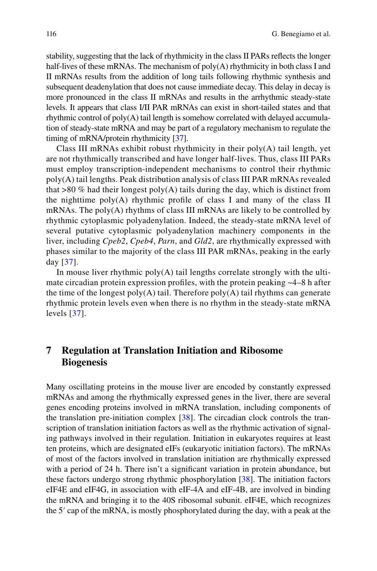stability, suggesting that the lack of rhythmicity in the class II PARs reflects the longer half-lives of these mRNAs. The mechanism of poly(A) rhythmicity in both class I and II mRNAs results from the addition of long tails following rhythmic synthesis and subsequent deadenylation that does not cause immediate decay. This delay in decay is more pronounced in the class II mRNAs and results in the arrhythmic steady-state levels. It appears that class I/II PAR mRNAs can exist in short- tailed states and that rhythmic control of poly(A) tail length is somehow correlated with delayed accumulation of steady-state mRNA and may be part of a regulatory mechanism to regulate the timing of mRNA/protein rhythmicity [37].

 Class III mRNAs exhibit robust rhythmicity in their poly(A) tail length, yet are not rhythmically transcribed and have longer half-lives. Thus, class III PARs must employ transcription-independent mechanisms to control their rhythmic poly(A) tail lengths. Peak distribution analysis of class III PAR mRNAs revealed that  $>80\%$  had their longest poly(A) tails during the day, which is distinct from the nighttime  $poly(A)$  rhythmic profile of class I and many of the class II mRNAs. The poly(A) rhythms of class III mRNAs are likely to be controlled by rhythmic cytoplasmic polyadenylation. Indeed, the steady-state mRNA level of several putative cytoplasmic polyadenylation machinery components in the liver, including *Cpeb2*, *Cpeb4*, *Parn*, and *Gld2*, are rhythmically expressed with phases similar to the majority of the class III PAR mRNAs, peaking in the early day  $[37]$ .

In mouse liver rhythmic  $poly(A)$  tail lengths correlate strongly with the ultimate circadian protein expression profiles, with the protein peaking  $\sim$ 4–8 h after the time of the longest  $poly(A)$  tail. Therefore  $poly(A)$  tail rhythms can generate rhythmic protein levels even when there is no rhythm in the steady-state mRNA levels  $[37]$ .

## **7 Regulation at Translation Initiation and Ribosome Biogenesis**

 Many oscillating proteins in the mouse liver are encoded by constantly expressed mRNAs and among the rhythmically expressed genes in the liver, there are several genes encoding proteins involved in mRNA translation, including components of the translation pre-initiation complex  $[38]$ . The circadian clock controls the transcription of translation initiation factors as well as the rhythmic activation of signaling pathways involved in their regulation. Initiation in eukaryotes requires at least ten proteins, which are designated eIFs (eukaryotic initiation factors). The mRNAs of most of the factors involved in translation initiation are rhythmically expressed with a period of 24 h. There isn't a significant variation in protein abundance, but these factors undergo strong rhythmic phosphorylation [38]. The initiation factors eIF4E and eIF4G, in association with eIF-4A and eIF-4B, are involved in binding the mRNA and bringing it to the 40S ribosomal subunit. eIF4E, which recognizes the 5′ cap of the mRNA, is mostly phosphorylated during the day, with a peak at the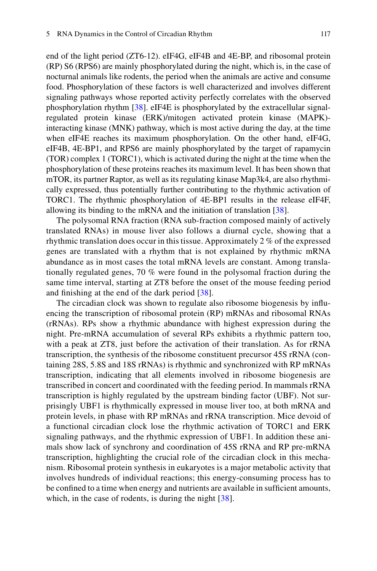end of the light period (ZT6-12). eIF4G, eIF4B and 4E-BP, and ribosomal protein (RP) S6 (RPS6) are mainly phosphorylated during the night, which is, in the case of nocturnal animals like rodents, the period when the animals are active and consume food. Phosphorylation of these factors is well characterized and involves different signaling pathways whose reported activity perfectly correlates with the observed phosphorylation rhythm [ [38 \]](#page-15-0). eIF4E is phosphorylated by the extracellular signalregulated protein kinase (ERK)/mitogen activated protein kinase (MAPK) interacting kinase (MNK) pathway, which is most active during the day, at the time when eIF4E reaches its maximum phosphorylation. On the other hand, eIF4G, eIF4B, 4E-BP1, and RPS6 are mainly phosphorylated by the target of rapamycin (TOR) complex 1 (TORC1), which is activated during the night at the time when the phosphorylation of these proteins reaches its maximum level. It has been shown that mTOR, its partner Raptor, as well as its regulating kinase Map3k4, are also rhythmically expressed, thus potentially further contributing to the rhythmic activation of TORC1. The rhythmic phosphorylation of 4E-BP1 results in the release eIF4F, allowing its binding to the mRNA and the initiation of translation [38].

 The polysomal RNA fraction (RNA sub-fraction composed mainly of actively translated RNAs) in mouse liver also follows a diurnal cycle, showing that a rhythmic translation does occur in this tissue. Approximately 2 % of the expressed genes are translated with a rhythm that is not explained by rhythmic mRNA abundance as in most cases the total mRNA levels are constant. Among translationally regulated genes, 70 % were found in the polysomal fraction during the same time interval, starting at ZT8 before the onset of the mouse feeding period and finishing at the end of the dark period [38].

The circadian clock was shown to regulate also ribosome biogenesis by influencing the transcription of ribosomal protein (RP) mRNAs and ribosomal RNAs (rRNAs). RPs show a rhythmic abundance with highest expression during the night. Pre-mRNA accumulation of several RPs exhibits a rhythmic pattern too, with a peak at ZT8, just before the activation of their translation. As for rRNA transcription, the synthesis of the ribosome constituent precursor 45S rRNA (containing 28S, 5.8S and 18S rRNAs) is rhythmic and synchronized with RP mRNAs transcription, indicating that all elements involved in ribosome biogenesis are transcribed in concert and coordinated with the feeding period. In mammals rRNA transcription is highly regulated by the upstream binding factor (UBF). Not surprisingly UBF1 is rhythmically expressed in mouse liver too, at both mRNA and protein levels, in phase with RP mRNAs and rRNA transcription. Mice devoid of a functional circadian clock lose the rhythmic activation of TORC1 and ERK signaling pathways, and the rhythmic expression of UBF1. In addition these animals show lack of synchrony and coordination of 45S rRNA and RP pre-mRNA transcription, highlighting the crucial role of the circadian clock in this mechanism. Ribosomal protein synthesis in eukaryotes is a major metabolic activity that involves hundreds of individual reactions; this energy-consuming process has to be confined to a time when energy and nutrients are available in sufficient amounts, which, in the case of rodents, is during the night [38].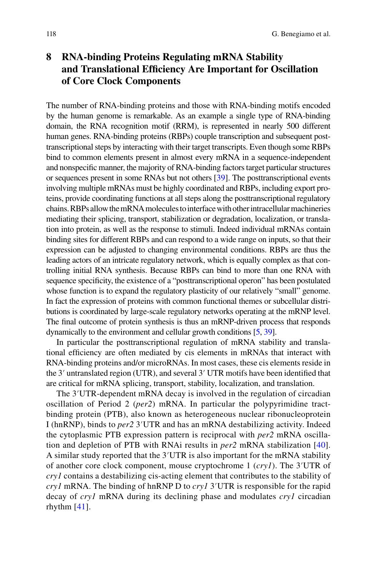# **8 RNA-binding Proteins Regulating mRNA Stability**  and Translational Efficiency Are Important for Oscillation **of Core Clock Components**

 The number of RNA-binding proteins and those with RNA-binding motifs encoded by the human genome is remarkable. As an example a single type of RNA-binding domain, the RNA recognition motif (RRM), is represented in nearly 500 different human genes. RNA-binding proteins (RBPs) couple transcription and subsequent posttranscriptional steps by interacting with their target transcripts. Even though some RBPs bind to common elements present in almost every mRNA in a sequence- independent and nonspecific manner, the majority of RNA-binding factors target particular structures or sequences present in some RNAs but not others [ [39 \]](#page-15-0). The posttranscriptional events involving multiple mRNAs must be highly coordinated and RBPs, including export proteins, provide coordinating functions at all steps along the posttranscriptional regulatory chains. RBPs allow the mRNA molecules to interface with other intracellular machineries mediating their splicing, transport, stabilization or degradation, localization, or translation into protein, as well as the response to stimuli. Indeed individual mRNAs contain binding sites for different RBPs and can respond to a wide range on inputs, so that their expression can be adjusted to changing environmental conditions. RBPs are thus the leading actors of an intricate regulatory network, which is equally complex as that controlling initial RNA synthesis. Because RBPs can bind to more than one RNA with sequence specificity, the existence of a "posttranscriptional operon" has been postulated whose function is to expand the regulatory plasticity of our relatively "small" genome. In fact the expression of proteins with common functional themes or subcellular distributions is coordinated by large-scale regulatory networks operating at the mRNP level. The final outcome of protein synthesis is thus an mRNP-driven process that responds dynamically to the environment and cellular growth conditions [5, [39](#page-15-0)].

 In particular the posttranscriptional regulation of mRNA stability and translational efficiency are often mediated by cis elements in mRNAs that interact with RNA-binding proteins and/or microRNAs. In most cases, these cis elements reside in the  $3'$  untranslated region (UTR), and several  $3'$  UTR motifs have been identified that are critical for mRNA splicing, transport, stability, localization, and translation.

 The 3′UTR-dependent mRNA decay is involved in the regulation of circadian oscillation of Period 2 (*per2*) mRNA. In particular the polypyrimidine tractbinding protein (PTB), also known as heterogeneous nuclear ribonucleoprotein I (hnRNP), binds to *per2* 3′UTR and has an mRNA destabilizing activity. Indeed the cytoplasmic PTB expression pattern is reciprocal with *per2* mRNA oscillation and depletion of PTB with RNAi results in *per2* mRNA stabilization [40]. A similar study reported that the 3′UTR is also important for the mRNA stability of another core clock component, mouse cryptochrome 1 ( *cry1* ). The 3′UTR of *cry1* contains a destabilizing cis-acting element that contributes to the stability of *cry1* mRNA. The binding of hnRNP D to *cry1* 3′UTR is responsible for the rapid decay of *cry1* mRNA during its declining phase and modulates *cry1* circadian rhythm  $[41]$ .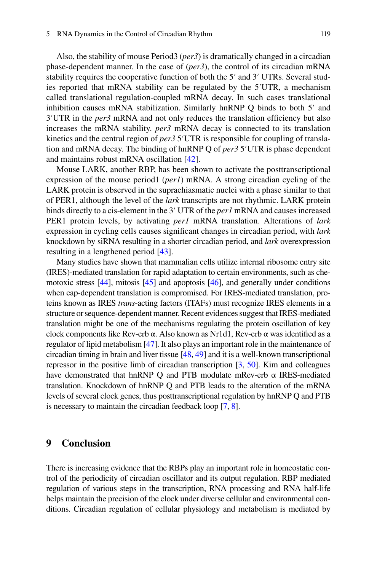Also, the stability of mouse Period3 (*per3*) is dramatically changed in a circadian phase-dependent manner. In the case of (*per3*), the control of its circadian mRNA stability requires the cooperative function of both the 5′ and 3′ UTRs. Several studies reported that mRNA stability can be regulated by the 5′UTR, a mechanism called translational regulation-coupled mRNA decay. In such cases translational inhibition causes mRNA stabilization. Similarly hnRNP Q binds to both 5′ and 3′UTR in the *per3* mRNA and not only reduces the translation efficiency but also increases the mRNA stability. *per3* mRNA decay is connected to its translation kinetics and the central region of *per3* 5′UTR is responsible for coupling of translation and mRNA decay. The binding of hnRNP Q of *per3* 5′UTR is phase dependent and maintains robust mRNA oscillation [42].

 Mouse LARK, another RBP, has been shown to activate the posttranscriptional expression of the mouse period1 ( $per1$ ) mRNA. A strong circadian cycling of the LARK protein is observed in the suprachiasmatic nuclei with a phase similar to that of PER1, although the level of the *lark* transcripts are not rhythmic. LARK protein binds directly to a cis-element in the 3′ UTR of the *per1* mRNA and causes increased PER1 protein levels, by activating *per1* mRNA translation. Alterations of *lark* expression in cycling cells causes significant changes in circadian period, with *lark* knockdown by siRNA resulting in a shorter circadian period, and *lark* overexpression resulting in a lengthened period [43].

 Many studies have shown that mammalian cells utilize internal ribosome entry site (IRES)-mediated translation for rapid adaptation to certain environments, such as chemotoxic stress  $[44]$ , mitosis  $[45]$  and apoptosis  $[46]$ , and generally under conditions when cap-dependent translation is compromised. For IRES-mediated translation, proteins known as IRES *trans* -acting factors (ITAFs) must recognize IRES elements in a structure or sequence-dependent manner. Recent evidences suggest that IRES-mediated translation might be one of the mechanisms regulating the protein oscillation of key clock components like Rev-erb  $\alpha$ . Also known as Nr1d1, Rev-erb  $\alpha$  was identified as a regulator of lipid metabolism [\[ 47](#page-15-0) ]. It also plays an important role in the maintenance of circadian timing in brain and liver tissue  $[48, 49]$  $[48, 49]$  $[48, 49]$  and it is a well-known transcriptional repressor in the positive limb of circadian transcription  $[3, 50]$ . Kim and colleagues have demonstrated that hnRNP Q and PTB modulate mRev-erb  $\alpha$  IRES-mediated translation. Knockdown of hnRNP Q and PTB leads to the alteration of the mRNA levels of several clock genes, thus posttranscriptional regulation by hnRNP Q and PTB is necessary to maintain the circadian feedback loop  $[7, 8]$ .

## **9 Conclusion**

 There is increasing evidence that the RBPs play an important role in homeostatic control of the periodicity of circadian oscillator and its output regulation. RBP mediated regulation of various steps in the transcription, RNA processing and RNA half-life helps maintain the precision of the clock under diverse cellular and environmental conditions. Circadian regulation of cellular physiology and metabolism is mediated by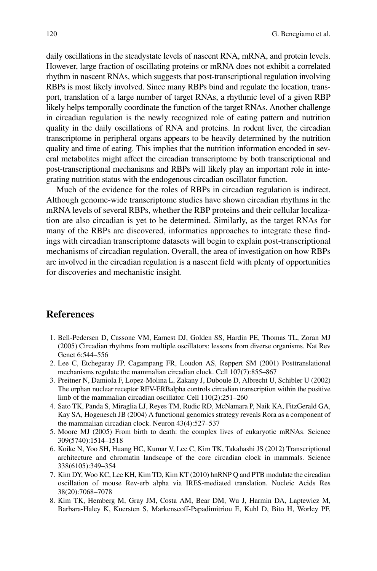<span id="page-13-0"></span>daily oscillations in the steadystate levels of nascent RNA, mRNA, and protein levels. However, large fraction of oscillating proteins or mRNA does not exhibit a correlated rhythm in nascent RNAs, which suggests that post- transcriptional regulation involving RBPs is most likely involved. Since many RBPs bind and regulate the location, transport, translation of a large number of target RNAs, a rhythmic level of a given RBP likely helps temporally coordinate the function of the target RNAs. Another challenge in circadian regulation is the newly recognized role of eating pattern and nutrition quality in the daily oscillations of RNA and proteins. In rodent liver, the circadian transcriptome in peripheral organs appears to be heavily determined by the nutrition quality and time of eating. This implies that the nutrition information encoded in several metabolites might affect the circadian transcriptome by both transcriptional and post-transcriptional mechanisms and RBPs will likely play an important role in integrating nutrition status with the endogenous circadian oscillator function.

 Much of the evidence for the roles of RBPs in circadian regulation is indirect. Although genome-wide transcriptome studies have shown circadian rhythms in the mRNA levels of several RBPs, whether the RBP proteins and their cellular localization are also circadian is yet to be determined. Similarly, as the target RNAs for many of the RBPs are discovered, informatics approaches to integrate these findings with circadian transcriptome datasets will begin to explain post-transcriptional mechanisms of circadian regulation. Overall, the area of investigation on how RBPs are involved in the circadian regulation is a nascent field with plenty of opportunities for discoveries and mechanistic insight.

### **References**

- 1. Bell-Pedersen D, Cassone VM, Earnest DJ, Golden SS, Hardin PE, Thomas TL, Zoran MJ (2005) Circadian rhythms from multiple oscillators: lessons from diverse organisms. Nat Rev Genet 6:544–556
- 2. Lee C, Etchegaray JP, Cagampang FR, Loudon AS, Reppert SM (2001) Posttranslational mechanisms regulate the mammalian circadian clock. Cell 107(7):855–867
- 3. Preitner N, Damiola F, Lopez-Molina L, Zakany J, Duboule D, Albrecht U, Schibler U (2002) The orphan nuclear receptor REV-ERBalpha controls circadian transcription within the positive limb of the mammalian circadian oscillator. Cell 110(2):251–260
- 4. Sato TK, Panda S, Miraglia LJ, Reyes TM, Rudic RD, McNamara P, Naik KA, FitzGerald GA, Kay SA, Hogenesch JB (2004) A functional genomics strategy reveals Rora as a component of the mammalian circadian clock. Neuron 43(4):527–537
- 5. Moore MJ (2005) From birth to death: the complex lives of eukaryotic mRNAs. Science 309(5740):1514–1518
- 6. Koike N, Yoo SH, Huang HC, Kumar V, Lee C, Kim TK, Takahashi JS (2012) Transcriptional architecture and chromatin landscape of the core circadian clock in mammals. Science 338(6105):349–354
- 7. Kim DY, Woo KC, Lee KH, Kim TD, Kim KT (2010) hnRNP Q and PTB modulate the circadian oscillation of mouse Rev-erb alpha via IRES-mediated translation. Nucleic Acids Res 38(20):7068–7078
- 8. Kim TK, Hemberg M, Gray JM, Costa AM, Bear DM, Wu J, Harmin DA, Laptewicz M, Barbara-Haley K, Kuersten S, Markenscoff-Papadimitriou E, Kuhl D, Bito H, Worley PF,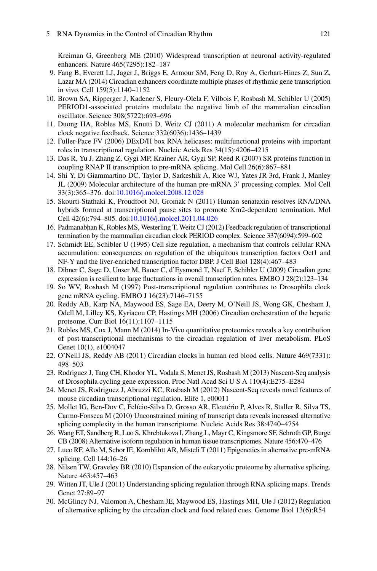<span id="page-14-0"></span>Kreiman G, Greenberg ME (2010) Widespread transcription at neuronal activity-regulated enhancers. Nature 465(7295):182–187

- 9. Fang B, Everett LJ, Jager J, Briggs E, Armour SM, Feng D, Roy A, Gerhart-Hines Z, Sun Z, Lazar MA (2014) Circadian enhancers coordinate multiple phases of rhythmic gene transcription in vivo. Cell 159(5):1140–1152
- 10. Brown SA, Ripperger J, Kadener S, Fleury-Olela F, Vilbois F, Rosbash M, Schibler U (2005) PERIOD1-associated proteins modulate the negative limb of the mammalian circadian oscillator. Science 308(5722):693–696
- 11. Duong HA, Robles MS, Knutti D, Weitz CJ (2011) A molecular mechanism for circadian clock negative feedback. Science 332(6036):1436–1439
- 12. Fuller-Pace FV (2006) DExD/H box RNA helicases: multifunctional proteins with important roles in transcriptional regulation. Nucleic Acids Res 34(15):4206–4215
- 13. Das R, Yu J, Zhang Z, Gygi MP, Krainer AR, Gygi SP, Reed R (2007) SR proteins function in coupling RNAP II transcription to pre-mRNA splicing. Mol Cell 26(6):867–881
- 14. Shi Y, Di Giammartino DC, Taylor D, Sarkeshik A, Rice WJ, Yates JR 3rd, Frank J, Manley JL (2009) Molecular architecture of the human pre-mRNA 3′ processing complex. Mol Cell 33(3):365–376. doi[:10.1016/j.molcel.2008.12.028](http://dx.doi.org/10.1016/j.molcel.2008.12.028)
- 15. Skourti-Stathaki K, Proudfoot NJ, Gromak N (2011) Human senataxin resolves RNA/DNA hybrids formed at transcriptional pause sites to promote Xrn2-dependent termination. Mol Cell 42(6):794–805. doi:[10.1016/j.molcel.2011.04.026](http://dx.doi.org/10.1016/j.molcel.2011.04.026)
- 16. Padmanabhan K, Robles MS, Westerling T, Weitz CJ (2012) Feedback regulation of transcriptional termination by the mammalian circadian clock PERIOD complex. Science 337(6094):599–602
- 17. Schmidt EE, Schibler U (1995) Cell size regulation, a mechanism that controls cellular RNA accumulation: consequences on regulation of the ubiquitous transcription factors Oct1 and NF-Y and the liver-enriched transcription factor DBP. J Cell Biol 128(4):467–483
- 18. Dibner C, Sage D, Unser M, Bauer C, d'Eysmond T, Naef F, Schibler U (2009) Circadian gene expression is resilient to large fluctuations in overall transcription rates. EMBO J 28(2):123-134
- 19. So WV, Rosbash M (1997) Post-transcriptional regulation contributes to Drosophila clock gene mRNA cycling. EMBO J 16(23):7146–7155
- 20. Reddy AB, Karp NA, Maywood ES, Sage EA, Deery M, O'Neill JS, Wong GK, Chesham J, Odell M, Lilley KS, Kyriacou CP, Hastings MH (2006) Circadian orchestration of the hepatic proteome. Curr Biol 16(11):1107–1115
- 21. Robles MS, Cox J, Mann M (2014) In-Vivo quantitative proteomics reveals a key contribution of post-transcriptional mechanisms to the circadian regulation of liver metabolism. PLoS Genet 10(1), e1004047
- 22. O'Neill JS, Reddy AB (2011) Circadian clocks in human red blood cells. Nature 469(7331): 498–503
- 23. Rodriguez J, Tang CH, Khodor YL, Vodala S, Menet JS, Rosbash M (2013) Nascent-Seq analysis of Drosophila cycling gene expression. Proc Natl Acad Sci U S A 110(4):E275–E284
- 24. Menet JS, Rodriguez J, Abruzzi KC, Rosbash M (2012) Nascent-Seq reveals novel features of mouse circadian transcriptional regulation. Elife 1, e00011
- 25. Mollet IG, Ben-Dov C, Felício-Silva D, Grosso AR, Eleutério P, Alves R, Staller R, Silva TS, Carmo-Fonseca M (2010) Unconstrained mining of transcript data reveals increased alternative splicing complexity in the human transcriptome. Nucleic Acids Res 38:4740–4754
- 26. Wang ET, Sandberg R, Luo S, Khrebtukova I, Zhang L, Mayr C, Kingsmore SF, Schroth GP, Burge CB (2008) Alternative isoform regulation in human tissue transcriptomes. Nature 456:470–476
- 27. Luco RF, Allo M, Schor IE, Kornblihtt AR, Misteli T (2011) Epigenetics in alternative pre- mRNA splicing. Cell 144:16–26
- 28. Nilsen TW, Graveley BR (2010) Expansion of the eukaryotic proteome by alternative splicing. Nature 463:457–463
- 29. Witten JT, Ule J (2011) Understanding splicing regulation through RNA splicing maps. Trends Genet 27:89–97
- 30. McGlincy NJ, Valomon A, Chesham JE, Maywood ES, Hastings MH, Ule J (2012) Regulation of alternative splicing by the circadian clock and food related cues. Genome Biol 13(6):R54